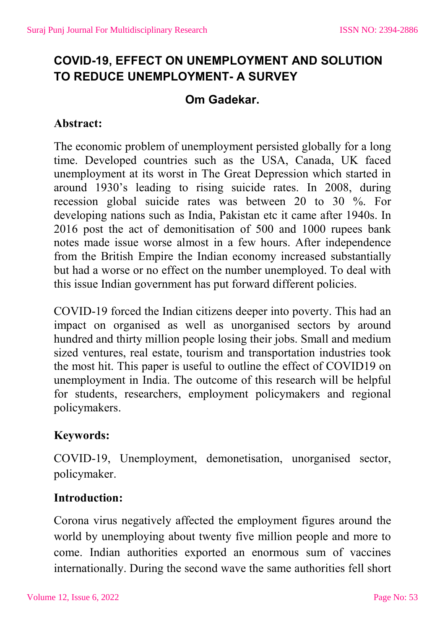# **COVID-19, EFFECT ON UNEMPLOYMENT AND SOLUTION TO REDUCE UNEMPLOYMENT- A SURVEY**

## **Om Gadekar.**

#### **Abstract:**

The economic problem of unemployment persisted globally for a long time. Developed countries such as the USA, Canada, UK faced unemployment at its worst in The Great Depression which started in around 1930's leading to rising suicide rates. In 2008, during recession global suicide rates was between 20 to 30 %. For developing nations such as India, Pakistan etc it came after 1940s. In 2016 post the act of demonitisation of 500 and 1000 rupees bank notes made issue worse almost in a few hours. After independence from the British Empire the Indian economy increased substantially but had a worse or no effect on the number unemployed. To deal with this issue Indian government has put forward different policies.

COVID-19 forced the Indian citizens deeper into poverty. This had an impact on organised as well as unorganised sectors by around hundred and thirty million people losing their jobs. Small and medium sized ventures, real estate, tourism and transportation industries took the most hit. This paper is useful to outline the effect of COVID19 on unemployment in India. The outcome of this research will be helpful for students, researchers, employment policymakers and regional policymakers.

### **Keywords:**

COVID-19, Unemployment, demonetisation, unorganised sector, policymaker.

### **Introduction:**

Corona virus negatively affected the employment figures around the world by unemploying about twenty five million people and more to come. Indian authorities exported an enormous sum of vaccines internationally. During the second wave the same authorities fell short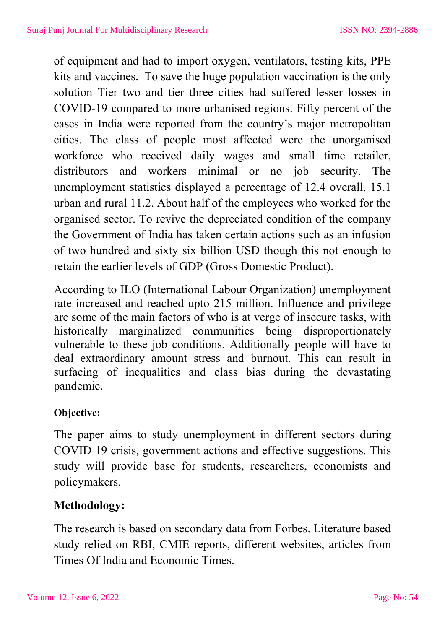of equipment and had to import oxygen, ventilators, testing kits, PPE kits and vaccines. To save the huge population vaccination is the only solution Tier two and tier three cities had suffered lesser losses in COVID-19 compared to more urbanised regions. Fifty percent of the cases in India were reported from the country's major metropolitan cities. The class of people most affected were the unorganised workforce who received daily wages and small time retailer, distributors and workers minimal or no job security. The unemployment statistics displayed a percentage of 12.4 overall, 15.1 urban and rural 11.2. About half of the employees who worked for the organised sector. To revive the depreciated condition of the company the Government of India has taken certain actions such as an infusion of two hundred and sixty six billion USD though this not enough to retain the earlier levels of GDP (Gross Domestic Product).

According to ILO (International Labour Organization) unemployment rate increased and reached upto 215 million. Influence and privilege are some of the main factors of who is at verge of insecure tasks, with historically marginalized communities being disproportionately vulnerable to these job conditions. Additionally people will have to deal extraordinary amount stress and burnout. This can result in surfacing of inequalities and class bias during the devastating pandemic.

#### **Objective:**

The paper aims to study unemployment in different sectors during COVID 19 crisis, government actions and effective suggestions. This study will provide base for students, researchers, economists and policymakers.

### **Methodology:**

The research is based on secondary data from Forbes. Literature based study relied on RBI, CMIE reports, different websites, articles from Times Of India and Economic Times.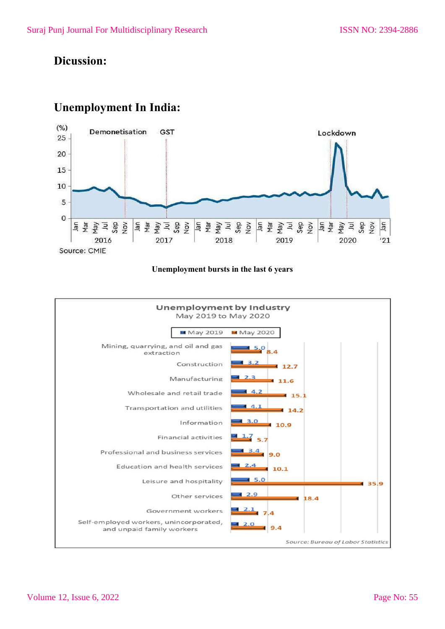#### **Dicussion:**

#### $(% )$ Demonetisation GST Lockdown  $25 -$ 20 15 10  $\overline{5}$  $\Omega$ Se g m m m m<br>F m m m m m Sea Fangle n<sub>al</sub> N<sub>o</sub> 2017 2018 2019 2020 2016  $'21$ Source: CMIE

#### **Unemployment In India:**

#### **Unemployment bursts in the last 6 years**

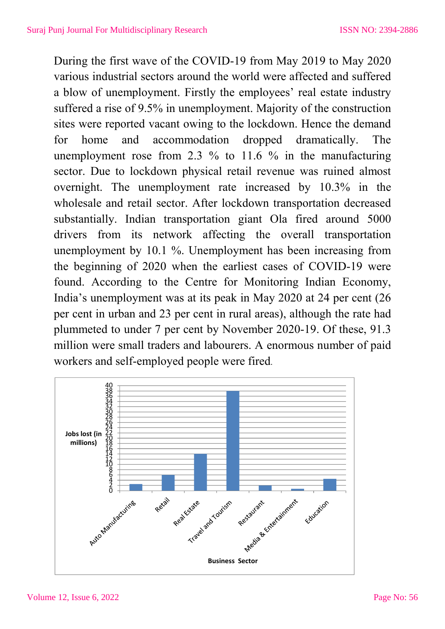During the first wave of the COVID-19 from May 2019 to May 2020 various industrial sectors around the world were affected and suffered a blow of unemployment. Firstly the employees' real estate industry suffered a rise of 9.5% in unemployment. Majority of the construction sites were reported vacant owing to the lockdown. Hence the demand for home and accommodation dropped dramatically. The unemployment rose from 2.3 % to 11.6 % in the manufacturing sector. Due to lockdown physical retail revenue was ruined almost overnight. The unemployment rate increased by 10.3% in the wholesale and retail sector. After lockdown transportation decreased substantially. Indian transportation giant Ola fired around 5000 drivers from its network affecting the overall transportation unemployment by 10.1 %. Unemployment has been increasing from the beginning of 2020 when the earliest cases of COVID-19 were found. According to the Centre for Monitoring Indian Economy, India's unemployment was at its peak in May 2020 at 24 per cent (26 per cent in urban and 23 per cent in rural areas), although the rate had plummeted to under 7 per cent by November 2020-19. Of these, 91.3 million were small traders and labourers. A enormous number of paid workers and self-employed people were fired.

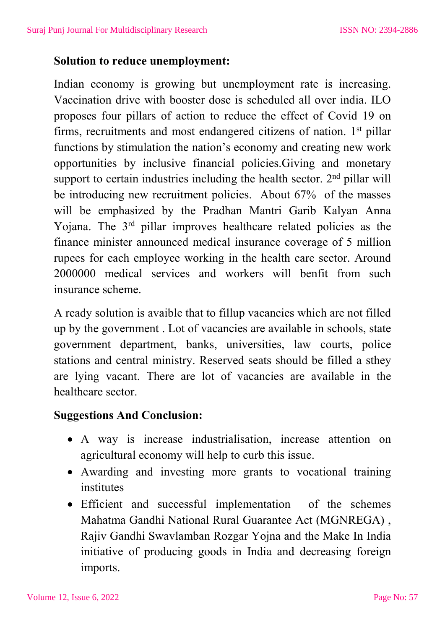#### **Solution to reduce unemployment:**

Indian economy is growing but unemployment rate is increasing. Vaccination drive with booster dose is scheduled all over india. ILO proposes four pillars of action to reduce the effect of Covid 19 on firms, recruitments and most endangered citizens of nation. 1<sup>st</sup> pillar functions by stimulation the nation's economy and creating new work opportunities by inclusive financial policies.Giving and monetary support to certain industries including the health sector.  $2<sup>nd</sup>$  pillar will be introducing new recruitment policies. About 67% of the masses will be emphasized by the Pradhan Mantri Garib Kalyan Anna Yojana. The 3<sup>rd</sup> pillar improves healthcare related policies as the finance minister announced medical insurance coverage of 5 million rupees for each employee working in the health care sector. Around 2000000 medical services and workers will benfit from such insurance scheme.

A ready solution is avaible that to fillup vacancies which are not filled up by the government . Lot of vacancies are available in schools, state government department, banks, universities, law courts, police stations and central ministry. Reserved seats should be filled a sthey are lying vacant. There are lot of vacancies are available in the healthcare sector.

#### **Suggestions And Conclusion:**

- A way is increase industrialisation, increase attention on agricultural economy will help to curb this issue.
- Awarding and investing more grants to vocational training institutes
- Efficient and successful implementation of the schemes Mahatma Gandhi National Rural Guarantee Act (MGNREGA) , Rajiv Gandhi Swavlamban Rozgar Yojna and the Make In India initiative of producing goods in India and decreasing foreign imports.